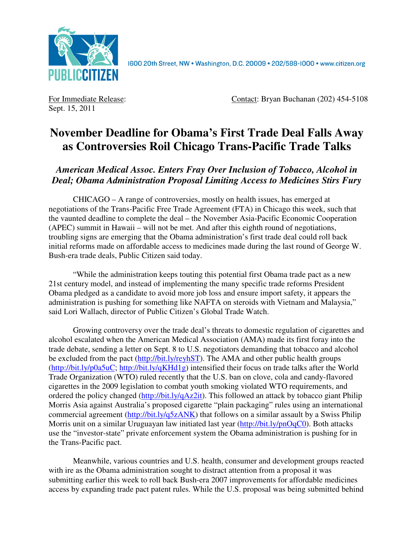

Sept. 15, 2011

For Immediate Release: Contact: Bryan Buchanan (202) 454-5108

## **November Deadline for Obama's First Trade Deal Falls Away as Controversies Roil Chicago Trans-Pacific Trade Talks**

*American Medical Assoc. Enters Fray Over Inclusion of Tobacco, Alcohol in Deal; Obama Administration Proposal Limiting Access to Medicines Stirs Fury* 

CHICAGO – A range of controversies, mostly on health issues, has emerged at negotiations of the Trans-Pacific Free Trade Agreement (FTA) in Chicago this week, such that the vaunted deadline to complete the deal – the November Asia-Pacific Economic Cooperation (APEC) summit in Hawaii – will not be met. And after this eighth round of negotiations, troubling signs are emerging that the Obama administration's first trade deal could roll back initial reforms made on affordable access to medicines made during the last round of George W. Bush-era trade deals, Public Citizen said today.

"While the administration keeps touting this potential first Obama trade pact as a new 21st century model, and instead of implementing the many specific trade reforms President Obama pledged as a candidate to avoid more job loss and ensure import safety, it appears the administration is pushing for something like NAFTA on steroids with Vietnam and Malaysia," said Lori Wallach, director of Public Citizen's Global Trade Watch.

Growing controversy over the trade deal's threats to domestic regulation of cigarettes and alcohol escalated when the American Medical Association (AMA) made its first foray into the trade debate, sending a letter on Sept. 8 to U.S. negotiators demanding that tobacco and alcohol be excluded from the pact (http://bit.ly/reyhST). The AMA and other public health groups (http://bit.ly/p0a5uC; http://bit.ly/qKHd1g) intensified their focus on trade talks after the World Trade Organization (WTO) ruled recently that the U.S. ban on clove, cola and candy-flavored cigarettes in the 2009 legislation to combat youth smoking violated WTO requirements, and ordered the policy changed (http://bit.ly/qAz2it). This followed an attack by tobacco giant Philip Morris Asia against Australia's proposed cigarette "plain packaging" rules using an international commercial agreement (http://bit.ly/q5zANK) that follows on a similar assault by a Swiss Philip Morris unit on a similar Uruguayan law initiated last year (http://bit.ly/pnOqC0). Both attacks use the "investor-state" private enforcement system the Obama administration is pushing for in the Trans-Pacific pact.

Meanwhile, various countries and U.S. health, consumer and development groups reacted with ire as the Obama administration sought to distract attention from a proposal it was submitting earlier this week to roll back Bush-era 2007 improvements for affordable medicines access by expanding trade pact patent rules. While the U.S. proposal was being submitted behind